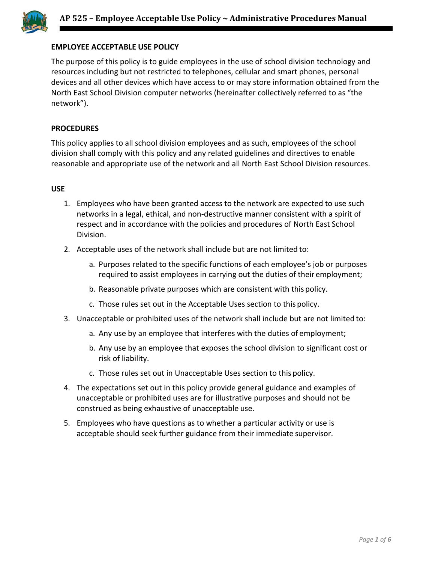

# **EMPLOYEE ACCEPTABLE USE POLICY**

The purpose of this policy is to guide employees in the use of school division technology and resources including but not restricted to telephones, cellular and smart phones, personal devices and all other devices which have access to or may store information obtained from the North East School Division computer networks (hereinafter collectively referred to as "the network").

### **PROCEDURES**

This policy applies to all school division employees and as such, employees of the school division shall comply with this policy and any related guidelines and directives to enable reasonable and appropriate use of the network and all North East School Division resources.

### **USE**

- 1. Employees who have been granted access to the network are expected to use such networks in a legal, ethical, and non-destructive manner consistent with a spirit of respect and in accordance with the policies and procedures of North East School Division.
- 2. Acceptable uses of the network shall include but are not limited to:
	- a. Purposes related to the specific functions of each employee's job or purposes required to assist employees in carrying out the duties of their employment;
	- b. Reasonable private purposes which are consistent with this policy.
	- c. Those rules set out in the Acceptable Uses section to this policy.
- 3. Unacceptable or prohibited uses of the network shall include but are not limited to:
	- a. Any use by an employee that interferes with the duties of employment;
	- b. Any use by an employee that exposes the school division to significant cost or risk of liability.
	- c. Those rules set out in Unacceptable Uses section to this policy.
- 4. The expectations set out in this policy provide general guidance and examples of unacceptable or prohibited uses are for illustrative purposes and should not be construed as being exhaustive of unacceptable use.
- 5. Employees who have questions as to whether a particular activity or use is acceptable should seek further guidance from their immediate supervisor.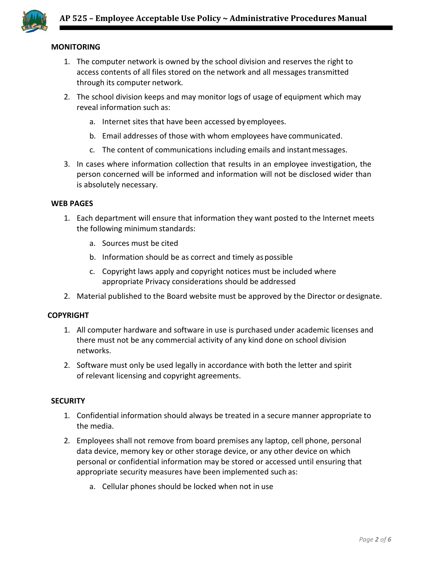

# **MONITORING**

- 1. The computer network is owned by the school division and reserves the right to access contents of all files stored on the network and all messages transmitted through its computer network.
- 2. The school division keeps and may monitor logs of usage of equipment which may reveal information such as:
	- a. Internet sites that have been accessed byemployees.
	- b. Email addresses of those with whom employees have communicated.
	- c. The content of communications including emails and instantmessages.
- 3. In cases where information collection that results in an employee investigation, the person concerned will be informed and information will not be disclosed wider than is absolutely necessary.

### **WEB PAGES**

- 1. Each department will ensure that information they want posted to the Internet meets the following minimum standards:
	- a. Sources must be cited
	- b. Information should be as correct and timely as possible
	- c. Copyright laws apply and copyright notices must be included where appropriate Privacy considerations should be addressed
- 2. Material published to the Board website must be approved by the Director or designate.

## **COPYRIGHT**

- 1. All computer hardware and software in use is purchased under academic licenses and there must not be any commercial activity of any kind done on school division networks.
- 2. Software must only be used legally in accordance with both the letter and spirit of relevant licensing and copyright agreements.

#### **SECURITY**

- 1. Confidential information should always be treated in a secure manner appropriate to the media.
- 2. Employees shall not remove from board premises any laptop, cell phone, personal data device, memory key or other storage device, or any other device on which personal or confidential information may be stored or accessed until ensuring that appropriate security measures have been implemented such as:
	- a. Cellular phones should be locked when not in use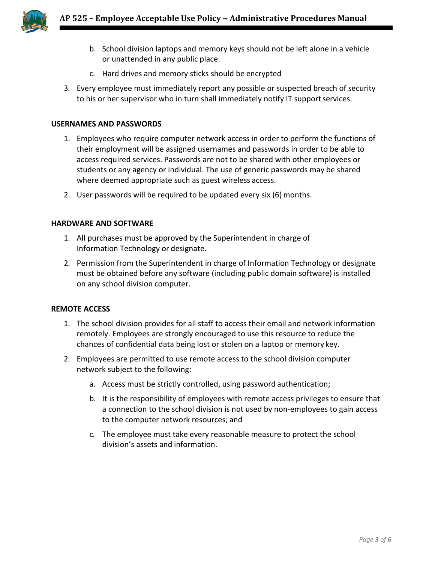

- b. School division laptops and memory keys should not be left alone in a vehicle or unattended in any public place.
- c. Hard drives and memory sticks should be encrypted
- 3. Every employee must immediately report any possible or suspected breach of security to his or her supervisor who in turn shall immediately notify IT supportservices.

#### **USERNAMES AND PASSWORDS**

- 1. Employees who require computer network access in order to perform the functions of their employment will be assigned usernames and passwords in order to be able to access required services. Passwords are not to be shared with other employees or students or any agency or individual. The use of generic passwords may be shared where deemed appropriate such as guest wireless access.
- 2. User passwords will be required to be updated every six (6) months.

#### **HARDWARE AND SOFTWARE**

- 1. All purchases must be approved by the Superintendent in charge of Information Technology or designate.
- 2. Permission from the Superintendent in charge of Information Technology or designate must be obtained before any software (including public domain software) is installed on any school division computer.

#### **REMOTE ACCESS**

- 1. The school division provides for all staff to access their email and network information remotely. Employees are strongly encouraged to use this resource to reduce the chances of confidential data being lost or stolen on a laptop or memory key.
- 2. Employees are permitted to use remote access to the school division computer network subject to the following:
	- a. Access must be strictly controlled, using password authentication;
	- b. It is the responsibility of employees with remote access privileges to ensure that a connection to the school division is not used by non-employees to gain access to the computer network resources; and
	- c. The employee must take every reasonable measure to protect the school division's assets and information.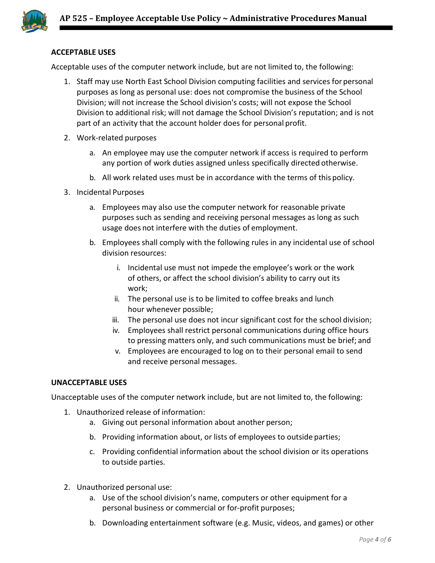

# **ACCEPTABLE USES**

Acceptable uses of the computer network include, but are not limited to, the following:

- 1. Staff may use North East School Division computing facilities and services for personal purposes as long as personal use: does not compromise the business of the School Division; will not increase the School division's costs; will not expose the School Division to additional risk; will not damage the School Division's reputation; and is not part of an activity that the account holder does for personal profit.
- 2. Work-related purposes
	- a. An employee may use the computer network if access is required to perform any portion of work duties assigned unless specifically directed otherwise.
	- b. All work related uses must be in accordance with the terms of this policy.
- 3. Incidental Purposes
	- a. Employees may also use the computer network for reasonable private purposes such as sending and receiving personal messages as long as such usage does not interfere with the duties of employment.
	- b. Employees shall comply with the following rules in any incidental use of school division resources:
		- i. Incidental use must not impede the employee's work or the work of others, or affect the school division's ability to carry out its work;
		- ii. The personal use is to be limited to coffee breaks and lunch hour whenever possible;
		- iii. The personal use does not incur significant cost for the school division;
		- iv. Employees shall restrict personal communications during office hours to pressing matters only, and such communications must be brief; and
		- v. Employees are encouraged to log on to their personal email to send and receive personal messages.

#### **UNACCEPTABLE USES**

Unacceptable uses of the computer network include, but are not limited to, the following:

- 1. Unauthorized release of information:
	- a. Giving out personal information about another person;
	- b. Providing information about, or lists of employees to outside parties;
	- c. Providing confidential information about the school division or its operations to outside parties.
- 2. Unauthorized personal use:
	- a. Use of the school division's name, computers or other equipment for a personal business or commercial or for-profit purposes;
	- b. Downloading entertainment software (e.g. Music, videos, and games) or other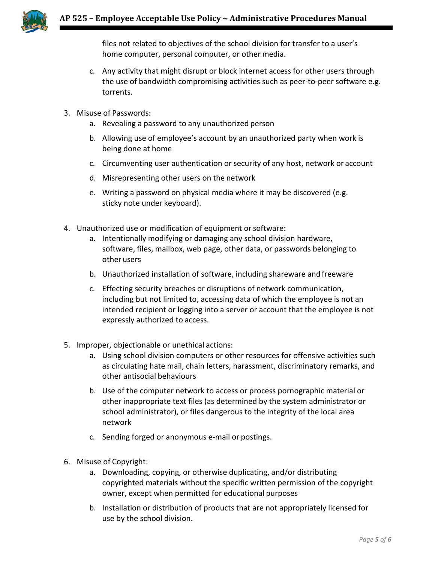

files not related to objectives of the school division for transfer to a user's home computer, personal computer, or other media.

- c. Any activity that might disrupt or block internet access for other users through the use of bandwidth compromising activities such as peer-to-peer software e.g. torrents.
- 3. Misuse of Passwords:
	- a. Revealing a password to any unauthorized person
	- b. Allowing use of employee's account by an unauthorized party when work is being done at home
	- c. Circumventing user authentication or security of any host, network or account
	- d. Misrepresenting other users on the network
	- e. Writing a password on physical media where it may be discovered (e.g. sticky note under keyboard).
- 4. Unauthorized use or modification of equipment or software:
	- a. Intentionally modifying or damaging any school division hardware, software, files, mailbox, web page, other data, or passwords belonging to other users
	- b. Unauthorized installation of software, including shareware and freeware
	- c. Effecting security breaches or disruptions of network communication, including but not limited to, accessing data of which the employee is not an intended recipient or logging into a server or account that the employee is not expressly authorized to access.
- 5. Improper, objectionable or unethical actions:
	- a. Using school division computers or other resources for offensive activities such as circulating hate mail, chain letters, harassment, discriminatory remarks, and other antisocial behaviours
	- b. Use of the computer network to access or process pornographic material or other inappropriate text files (as determined by the system administrator or school administrator), or files dangerous to the integrity of the local area network
	- c. Sending forged or anonymous e-mail or postings.
- 6. Misuse of Copyright:
	- a. Downloading, copying, or otherwise duplicating, and/or distributing copyrighted materials without the specific written permission of the copyright owner, except when permitted for educational purposes
	- b. Installation or distribution of products that are not appropriately licensed for use by the school division.